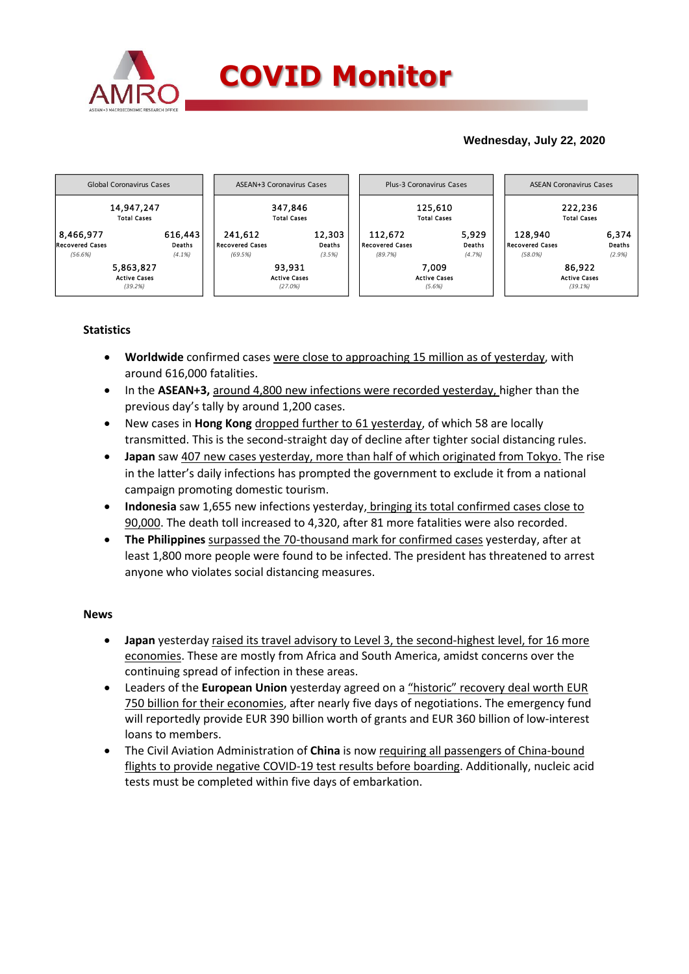

# **Wednesday, July 22, 2020**



## **Statistics**

- **Worldwide** confirmed cases were close to approaching 15 million as of yesterday, with around 616,000 fatalities.
- In the **ASEAN+3,** around 4,800 new infections were recorded yesterday, higher than the previous day's tally by around 1,200 cases.
- New cases in **Hong Kong** dropped further to 61 yesterday, of which 58 are locally transmitted. This is the second-straight day of decline after tighter social distancing rules.
- **Japan** saw 407 new cases yesterday, more than half of which originated from Tokyo. The rise in the latter's daily infections has prompted the government to exclude it from a national campaign promoting domestic tourism.
- **Indonesia** saw 1,655 new infections yesterday, bringing its total confirmed cases close to 90,000. The death toll increased to 4,320, after 81 more fatalities were also recorded.
- **The Philippines** surpassed the 70-thousand mark for confirmed cases yesterday, after at least 1,800 more people were found to be infected. The president has threatened to arrest anyone who violates social distancing measures.

### **News**

- **Japan** yesterday raised its travel advisory to Level 3, the second-highest level, for 16 more economies. These are mostly from Africa and South America, amidst concerns over the continuing spread of infection in these areas.
- Leaders of the **European Union** yesterday agreed on a "historic" recovery deal worth EUR 750 billion for their economies, after nearly five days of negotiations. The emergency fund will reportedly provide EUR 390 billion worth of grants and EUR 360 billion of low-interest loans to members.
- The Civil Aviation Administration of **China** is now requiring all passengers of China-bound flights to provide negative COVID-19 test results before boarding. Additionally, nucleic acid tests must be completed within five days of embarkation.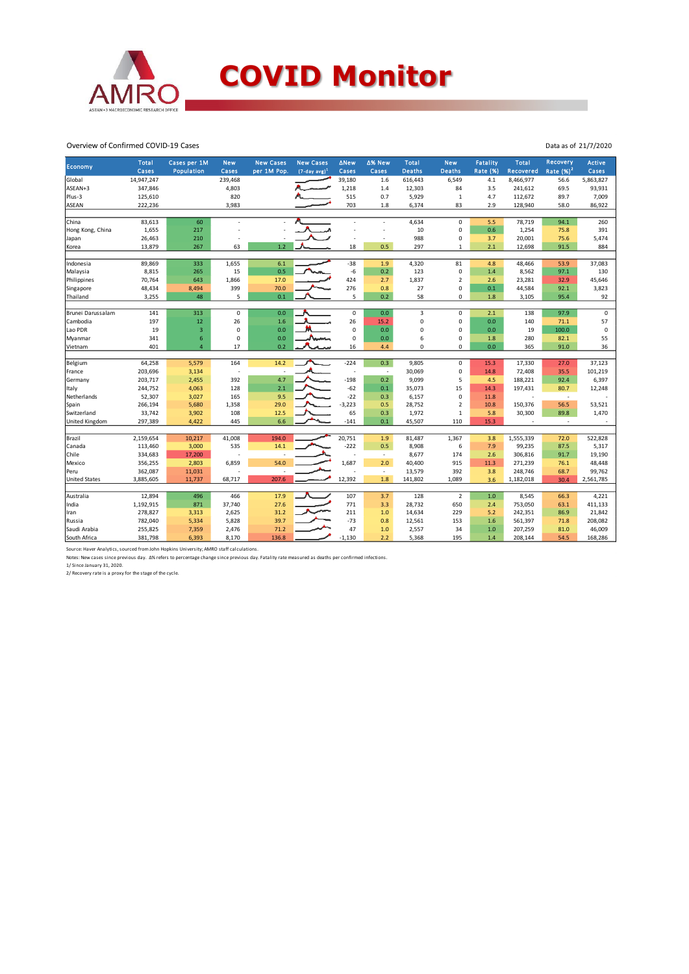

#### Overview of Confirmed COVID-19 Cases

| Cases<br>Population<br>Cases<br>per 1M Pop.<br>$(7-day avg)^1$<br>Cases<br>Cases<br><b>Deaths</b><br><b>Deaths</b><br>Global<br>14,947,247<br>239,468<br>39,180<br>616,443<br>8,466,977<br>5,863,827<br>1.6<br>6,549<br>4.1<br>56.6<br>1,218<br>84<br>ASEAN+3<br>347,846<br>4,803<br>1.4<br>12,303<br>3.5<br>241,612<br>69.5<br>820<br>515<br>Plus-3<br>125,610<br>0.7<br>5,929<br>$\mathbf{1}$<br>4.7<br>112,672<br>89.7<br>3,983<br>703<br>83<br><b>ASEAN</b><br>222,236<br>1.8<br>6,374<br>2.9<br>128,940<br>58.0<br>78,719<br>China<br>83,613<br>60<br>4,634<br>$\mathbf 0$<br>5.5<br>94.1<br>$\overline{a}$<br>1,655<br>10<br>$\mathbf 0$<br>0.6<br>1,254<br>Hong Kong, China<br>217<br>75.8<br>26,463<br>988<br>0<br>20,001<br>75.6<br>210<br>3.7<br>Japan<br>Ĩ.<br>÷,<br>1.2<br>18<br>0.5<br>2.1<br>91.5<br>13,879<br>267<br>63<br>297<br>12,698<br>Korea<br>$\mathbf{1}$<br>6.1<br>$-38$<br>1.9<br>81<br>89,869<br>333<br>1,655<br>4,320<br>Indonesia | Recovery<br><b>Fatality</b><br><b>Total</b><br>Active<br>Rate $(%)2$<br>Rate (%)<br>Recovered<br>Cases |
|---------------------------------------------------------------------------------------------------------------------------------------------------------------------------------------------------------------------------------------------------------------------------------------------------------------------------------------------------------------------------------------------------------------------------------------------------------------------------------------------------------------------------------------------------------------------------------------------------------------------------------------------------------------------------------------------------------------------------------------------------------------------------------------------------------------------------------------------------------------------------------------------------------------------------------------------------------------|--------------------------------------------------------------------------------------------------------|
|                                                                                                                                                                                                                                                                                                                                                                                                                                                                                                                                                                                                                                                                                                                                                                                                                                                                                                                                                               |                                                                                                        |
|                                                                                                                                                                                                                                                                                                                                                                                                                                                                                                                                                                                                                                                                                                                                                                                                                                                                                                                                                               | 93,931                                                                                                 |
|                                                                                                                                                                                                                                                                                                                                                                                                                                                                                                                                                                                                                                                                                                                                                                                                                                                                                                                                                               | 7,009                                                                                                  |
|                                                                                                                                                                                                                                                                                                                                                                                                                                                                                                                                                                                                                                                                                                                                                                                                                                                                                                                                                               | 86,922                                                                                                 |
|                                                                                                                                                                                                                                                                                                                                                                                                                                                                                                                                                                                                                                                                                                                                                                                                                                                                                                                                                               |                                                                                                        |
|                                                                                                                                                                                                                                                                                                                                                                                                                                                                                                                                                                                                                                                                                                                                                                                                                                                                                                                                                               | 260                                                                                                    |
|                                                                                                                                                                                                                                                                                                                                                                                                                                                                                                                                                                                                                                                                                                                                                                                                                                                                                                                                                               | 391                                                                                                    |
|                                                                                                                                                                                                                                                                                                                                                                                                                                                                                                                                                                                                                                                                                                                                                                                                                                                                                                                                                               | 5,474                                                                                                  |
|                                                                                                                                                                                                                                                                                                                                                                                                                                                                                                                                                                                                                                                                                                                                                                                                                                                                                                                                                               | 884                                                                                                    |
|                                                                                                                                                                                                                                                                                                                                                                                                                                                                                                                                                                                                                                                                                                                                                                                                                                                                                                                                                               | 4.8<br>48,466<br>53.9<br>37,083                                                                        |
| 8,815<br>15<br>0.5<br>$-6$<br>0.2<br>123<br>$\mathbf 0$<br>1.4<br>8,562<br>Malaysia<br>265<br>97.1                                                                                                                                                                                                                                                                                                                                                                                                                                                                                                                                                                                                                                                                                                                                                                                                                                                            | 130                                                                                                    |
| 424<br>1,837<br>70,764<br>643<br>1,866<br>17.0<br>2.7<br>$\overline{2}$<br>23,281<br>32.9<br>Philippines<br>2.6                                                                                                                                                                                                                                                                                                                                                                                                                                                                                                                                                                                                                                                                                                                                                                                                                                               | 45,646                                                                                                 |
| 399<br>70.0<br>276<br>27<br>$\mathbf 0$<br>Singapore<br>48,434<br>8,494<br>0.8<br>0.1<br>44,584<br>92.1                                                                                                                                                                                                                                                                                                                                                                                                                                                                                                                                                                                                                                                                                                                                                                                                                                                       | 3,823                                                                                                  |
| 48<br>5<br>0.1<br>5<br>0.2<br>Thailand<br>3,255<br>58<br>$\mathbf 0$<br>3,105<br>1.8<br>95.4                                                                                                                                                                                                                                                                                                                                                                                                                                                                                                                                                                                                                                                                                                                                                                                                                                                                  | 92                                                                                                     |
|                                                                                                                                                                                                                                                                                                                                                                                                                                                                                                                                                                                                                                                                                                                                                                                                                                                                                                                                                               |                                                                                                        |
| 313<br>$\mathsf 0$<br>0.0<br>$\mathsf 0$<br>0.0<br>$\overline{3}$<br>$\mathbf 0$<br>138<br>97.9<br>Brunei Darussalam<br>141<br>2.1                                                                                                                                                                                                                                                                                                                                                                                                                                                                                                                                                                                                                                                                                                                                                                                                                            | $\mathsf 0$                                                                                            |
| 26<br>197<br>12<br>26<br>1.6<br>15.2<br>$\mathbf 0$<br>$\mathbf 0$<br>0.0<br>140<br>Cambodia<br>71.1                                                                                                                                                                                                                                                                                                                                                                                                                                                                                                                                                                                                                                                                                                                                                                                                                                                          | 57                                                                                                     |
| $\mathbf 0$<br>$\mathbf 0$<br>0.0<br>Lao PDR<br>19<br>3<br>0.0<br>0<br>$\mathbf 0$<br>0.0<br>19<br>100.0                                                                                                                                                                                                                                                                                                                                                                                                                                                                                                                                                                                                                                                                                                                                                                                                                                                      | $\mathsf 0$                                                                                            |
| 341<br>6<br>$\mathbf 0$<br>0.0<br>$\mathbf 0$<br>6<br>$\mathbf 0$<br>280<br>Journ<br>0.0<br>82.1<br>Myanmar<br>1.8                                                                                                                                                                                                                                                                                                                                                                                                                                                                                                                                                                                                                                                                                                                                                                                                                                            | 55                                                                                                     |
| 17<br>0.2<br>$\mathbf 0$<br>$\mathbf 0$<br>401<br>$\overline{4}$<br>16<br>0.0<br>365<br>91.0<br>Vietnam<br>4.4                                                                                                                                                                                                                                                                                                                                                                                                                                                                                                                                                                                                                                                                                                                                                                                                                                                | 36                                                                                                     |
|                                                                                                                                                                                                                                                                                                                                                                                                                                                                                                                                                                                                                                                                                                                                                                                                                                                                                                                                                               |                                                                                                        |
| 64,258<br>164<br>$-224$<br>0.3<br>$\mathbf 0$<br>Belgium<br>5,579<br>14.2<br>9,805<br>17,330<br>15.3<br>27.0                                                                                                                                                                                                                                                                                                                                                                                                                                                                                                                                                                                                                                                                                                                                                                                                                                                  | 37,123                                                                                                 |
| $\mathbf 0$<br>72,408<br>203,696<br>3,134<br>30,069<br>14.8<br>35.5<br>France<br>÷<br>÷,<br>÷,                                                                                                                                                                                                                                                                                                                                                                                                                                                                                                                                                                                                                                                                                                                                                                                                                                                                | 101,219                                                                                                |
| $-198$<br>203,717<br>2,455<br>392<br>4.7<br>0.2<br>9,099<br>5<br>188,221<br>92.4<br>4.5<br>Germany                                                                                                                                                                                                                                                                                                                                                                                                                                                                                                                                                                                                                                                                                                                                                                                                                                                            | 6,397                                                                                                  |
| $-62$<br>15<br>244,752<br>4,063<br>128<br>2.1<br>0.1<br>35,073<br>14.3<br>197,431<br>Italy<br>80.7                                                                                                                                                                                                                                                                                                                                                                                                                                                                                                                                                                                                                                                                                                                                                                                                                                                            | 12,248                                                                                                 |
| 52,307<br>3,027<br>165<br>9.5<br>$-22$<br>6,157<br>0<br>Netherlands<br>0.3<br>11.8<br>$\sim$                                                                                                                                                                                                                                                                                                                                                                                                                                                                                                                                                                                                                                                                                                                                                                                                                                                                  |                                                                                                        |
| $-3,223$<br>266,194<br>5,680<br>29.0<br>28,752<br>$\overline{2}$<br>150,376<br>56.5<br>Spain<br>1,358<br>0.5<br>10.8                                                                                                                                                                                                                                                                                                                                                                                                                                                                                                                                                                                                                                                                                                                                                                                                                                          | 53,521                                                                                                 |
| 3,902<br>108<br>12.5<br>65<br>0.3<br>$\,1\,$<br>30,300<br>89.8<br>Switzerland<br>33,742<br>1,972<br>5.8                                                                                                                                                                                                                                                                                                                                                                                                                                                                                                                                                                                                                                                                                                                                                                                                                                                       | 1,470                                                                                                  |
| 6.6<br>United Kingdom<br>297,389<br>4,422<br>445<br>$-141$<br>0.1<br>110<br>15.3<br>45,507<br>$\overline{\phantom{a}}$                                                                                                                                                                                                                                                                                                                                                                                                                                                                                                                                                                                                                                                                                                                                                                                                                                        |                                                                                                        |
| 2,159,654<br>10,217<br>41,008<br>194.0<br>20,751<br>1.9<br>81,487<br>1,367<br>Brazil<br>3.8<br>1,555,339<br>72.0                                                                                                                                                                                                                                                                                                                                                                                                                                                                                                                                                                                                                                                                                                                                                                                                                                              | 522,828                                                                                                |
| $-222$<br>535<br>14.1<br>0.5<br>8,908<br>99,235<br>Canada<br>113,460<br>3,000<br>6<br>7.9<br>87.5                                                                                                                                                                                                                                                                                                                                                                                                                                                                                                                                                                                                                                                                                                                                                                                                                                                             | 5,317                                                                                                  |
| ٠                                                                                                                                                                                                                                                                                                                                                                                                                                                                                                                                                                                                                                                                                                                                                                                                                                                                                                                                                             |                                                                                                        |
| Chile<br>334,683<br>17,200<br>8,677<br>174<br>306,816<br>91.7<br>2.6<br>54.0<br>2.0                                                                                                                                                                                                                                                                                                                                                                                                                                                                                                                                                                                                                                                                                                                                                                                                                                                                           | 19,190                                                                                                 |
| 356,255<br>2,803<br>1,687<br>915<br>271,239<br>Mexico<br>6,859<br>40,400<br>11.3<br>76.1                                                                                                                                                                                                                                                                                                                                                                                                                                                                                                                                                                                                                                                                                                                                                                                                                                                                      | 48,448                                                                                                 |
| 362,087<br>11,031<br>13,579<br>392<br>3.8<br>248,746<br>68.7<br>Peru<br>$\overline{\phantom{a}}$                                                                                                                                                                                                                                                                                                                                                                                                                                                                                                                                                                                                                                                                                                                                                                                                                                                              | 99,762                                                                                                 |
| 12,392<br>3,885,605<br>68,717<br>207.6<br>1.8<br>141,802<br>1,089<br><b>United States</b><br>11,737<br>3.6<br>1,182,018<br>30.4                                                                                                                                                                                                                                                                                                                                                                                                                                                                                                                                                                                                                                                                                                                                                                                                                               | 2,561,785                                                                                              |
| 12,894<br>466<br>107<br>128<br>$\overline{2}$<br>496<br>17.9<br>3.7<br>$1.0$<br>8,545<br>66.3<br>Australia                                                                                                                                                                                                                                                                                                                                                                                                                                                                                                                                                                                                                                                                                                                                                                                                                                                    | 4,221                                                                                                  |
| 1,192,915<br>771<br>753,050<br>871<br>37,740<br>27.6<br>3.3<br>28,732<br>650<br>2.4<br>63.1<br>India                                                                                                                                                                                                                                                                                                                                                                                                                                                                                                                                                                                                                                                                                                                                                                                                                                                          | 411,133                                                                                                |
| 278,827<br>211<br>229<br>3,313<br>2,625<br>31.2<br>1.0<br>14,634<br>5.2<br>242,351<br>86.9<br>Iran                                                                                                                                                                                                                                                                                                                                                                                                                                                                                                                                                                                                                                                                                                                                                                                                                                                            | 21,842                                                                                                 |
| $-73$<br>782,040<br>5,334<br>5,828<br>39.7<br>153<br>Russia<br>0.8<br>12,561<br>1.6<br>561,397<br>71.8                                                                                                                                                                                                                                                                                                                                                                                                                                                                                                                                                                                                                                                                                                                                                                                                                                                        | 208,082                                                                                                |
| 47<br>Saudi Arabia<br>255,825<br>7,359<br>2,476<br>71.2<br>1.0<br>2,557<br>34<br>1.0<br>207,259<br>81.0                                                                                                                                                                                                                                                                                                                                                                                                                                                                                                                                                                                                                                                                                                                                                                                                                                                       | 46,009                                                                                                 |
| 381,798<br>6,393<br>8,170<br>136.8<br>$-1,130$<br>2.2<br>5,368<br>195<br>54.5<br>South Africa<br>1.4<br>208,144                                                                                                                                                                                                                                                                                                                                                                                                                                                                                                                                                                                                                                                                                                                                                                                                                                               | 168,286                                                                                                |

Source: Haver Analytics, sourced from John Hopkins University; AMRO staff calculations.<br>Notes: New cases since previous day. Δ% refers to percentage change since previous day. Fatality rate measured as deaths per confirmed

Data as of 21/7/2020